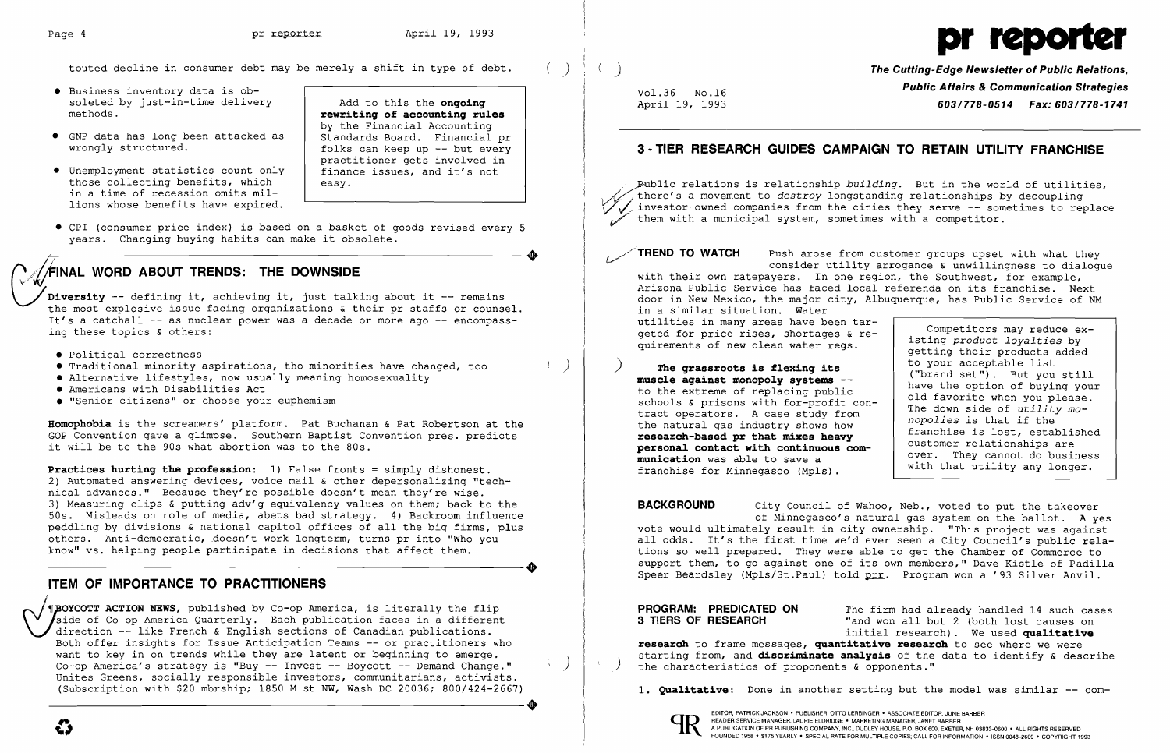$($   $)$ 

- Business inventory data is obsoleted by just-in-time delivery methods.
- GNP data has long been attacked as wrongly structured.
- Unemployment statistics count only those collecting benefits, which in a time of recession omits millions whose benefits have expired.

touted decline in consumer debt may be merely a shift in type of debt.

Diversity -- defining it, achieving it, just talking about it -- remains the most explosive issue facing organizations & their pr staffs or counsel. It's a catchall -- as nuclear power was a decade or more ago **--** encompassing these topics & others:

Add to this the **onqoinq rewritinq of accountinq rules**  by the Financial Accounting Standards Board. Financial pr folks can keep up -- but every practitioner gets involved in finance issues, and it's not easy.

• CPI (consumer price index) is based on a basket of goods revised every 5 years. Changing buying habits can make it obsolete.

### / r:;.i~INAL **WORD ABOUT TRENDS: THE DOWNSIDE**

**OYCOTT ACTION NEWS,** published by Co-op America, is literally the flip Side of Co-op America Quarterly. Each publication faces in a different direction -- like French & English sections of Canadian publications. Both offer insights for Issue Anticipation Teams -- or practitioners who want to key in on trends while they are latent or beginning to emerge. Co-op America's strategy is "Buy -- Invest -- Boycott -- Demand Change." Unites Greens, socially responsible investors, communitarians, activists. Unites Greens, socially responsible investors, communitarians, activists.<br>
(Subscription with \$20 mbrship; 1850 M st NW, Wash DC 20036; 800/424-2667)

- Political correctness
- Traditional minority aspirations, tho minorities have changed, too
- Alternative lifestyles, now usually meaning homosexuality
- Americans with Disabilities Act
- "Senior citizens" or choose your euphemism

**Homophobia** is the screamers' platform. Pat Buchanan & Pat Robertson at the GOP Convention gave a glimpse. Southern Baptist Convention pres. predicts it will be to the 90s what abortion was to the 80s.

**Practices hurtinq the profession:** 1) False fronts = simply dishonest. 2) Automated answering devices, voice mail & other depersonalizing "technical advances." Because they're possible doesn't mean they're wise. 3) Measuring clips & putting adv'g equivalency values on them; back to the 50s. Misleads on role of media, abets bad strategy. 4) Backroom influence peddling by divisions & national capitol offices of all the big firms, plus pedding by divisions w national capitor offices of all the big films, pius<br>others. Anti-democratic, doesn't work longterm, turns pr into "Who you<br>know" vs. helping people participate in decisions that affect them. know" vs. helping people participate in decisions that affect them.

)

**TREND TO WATCH** Push arose from customer groups upset with what they consider utility arrogance & unwillingness to dialogue with their own ratepayers. In one region, the Southwest, for example, Arizona Public Service has faced local referenda on its franchise. Next door in New Mexico, the major city, Albuquerque, has Public Service of NM in a similar situation. Water utilities in many areas have been targeted for price rises, shortages & requirements of new clean water regs. Competitors may reduce existing *product loyalties* by

### **ITEM OF IMPORTANCE TO PRACTITIONERS**

./

# Page 4 **pr reporter** April 19, 1993

**BACKGROUND** City Council of Wahoo, Neb., voted to put the takeover of Minnegasco's natural gas system on the ballot. A yes vote would ultimately result in city ownership. "This project was against all odds. It's the first time we'd ever seen a City Council's public relations so well prepared. They were able to get the Chamber of Commerce to support them, to go against one of its own members," Dave Kistle of Padilla Speer Beardsley (Mpls/St.Paul) told prr. Program won a '93 Silver Anvil.

) **The Cutting-Edge Newsletter of Public Relations,**  Vol. 36 No .16 **Public Affairs & Communication Strategies**  April 19, 1993 *603/778-0514 Fax: 603/778-1741* 

### **3· TIER RESEARCH GUIDES CAMPAIGN TO RETAIN UTILITY FRANCHISE**

/~ub1ic relations is relationship *building.* But in the world of utilities, there's a movement to *destroy* longstanding relationships by decoupling investor-owned companies from the cities they serve -- sometimes to replace them with a municipal system, sometimes with a competitor.

) **The qrassroots is flexinq its muscle aqainst monopoly systems**  to the extreme of replacing public schools & prisons with for-profit con tract operators. A case study from the natural gas industry shows how **research-based pr that mixes heavy personal contact with continuous communication** was able to save a franchise for Minnegasco (Mpls).

|     | Competitors may reduce ex-     |
|-----|--------------------------------|
|     | isting product loyalties by    |
|     | getting their products added   |
|     | to your acceptable list        |
|     | ("brand set"). But you still   |
|     | have the option of buying your |
|     | old favorite when you please.  |
| า — | The down side of utility mo-   |
|     | nopolies is that if the        |
|     | franchise is lost, established |
|     | customer relationships are     |
|     | over. They cannot do business  |
|     | with that utility any longer.  |
|     |                                |

## **PROGRAM: PREDICATED ON**

The firm had already handled 14 such cases "and won all but 2 (both lost causes on initial research). We used **qualitative** 

**3 TIERS OF RESEARCH research** to frame messages, **quantitative research** to see where we were starting from, and **discriminate analysis** of the data to identify & describe ) the characteristics of proponents & opponents."

1. **Qualitative:** Done in another setting but the model was similar -- com-



EDITOR, PATRICK JACKSON • PUBLISHER, OTTO LERBINGER • ASSOCIATE EDITOR, JUNE BARBER READER READER I